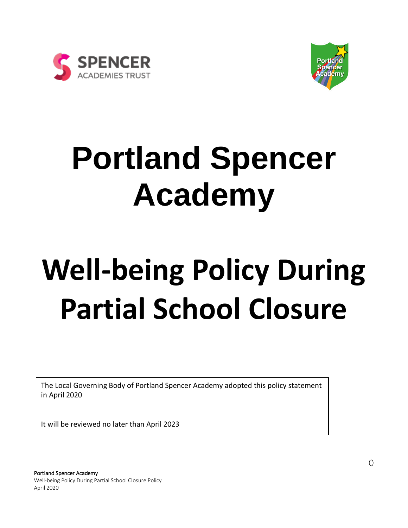



## **Portland Spencer Academy**

# **Well-being Policy During Partial School Closure**

The Local Governing Body of Portland Spencer Academy adopted this policy statement in April 2020

It will be reviewed no later than April 2023

Portland Spencer Academy Well-being Policy During Partial School Closure Policy April 2020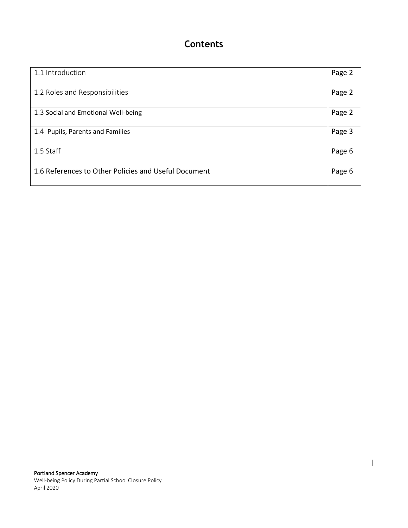## **Contents**

| 1.1 Introduction                                     | Page 2 |
|------------------------------------------------------|--------|
| 1.2 Roles and Responsibilities                       | Page 2 |
| 1.3 Social and Emotional Well-being                  | Page 2 |
| 1.4 Pupils, Parents and Families                     | Page 3 |
| 1.5 Staff                                            | Page 6 |
| 1.6 References to Other Policies and Useful Document | Page 6 |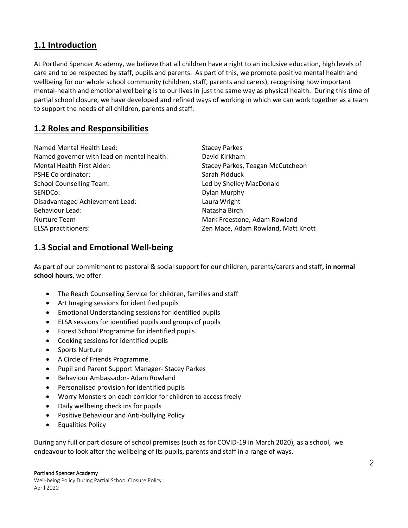## **1.1 Introduction**

At Portland Spencer Academy, we believe that all children have a right to an inclusive education, high levels of care and to be respected by staff, pupils and parents. As part of this, we promote positive mental health and wellbeing for our whole school community (children, staff, parents and carers), recognising how important mental-health and emotional wellbeing is to our lives in just the same way as physical health. During this time of partial school closure, we have developed and refined ways of working in which we can work together as a team to support the needs of all children, parents and staff.

## **1.2 Roles and Responsibilities**

Named Mental Health Lead: Stacey Parkes Named governor with lead on mental health: David Kirkham Mental Health First Aider: Stacey Parkes, Teagan McCutcheon PSHE Co ordinator: Sarah Pidduck School Counselling Team: Led by Shelley MacDonald SENDCo: Dylan Murphy Disadvantaged Achievement Lead: Laura Wright Behaviour Lead: Natasha Birch Nurture Team **Mark Freestone, Adam Rowland** ELSA practitioners: Zen Mace, Adam Rowland, Matt Knott

## **1.3 Social and Emotional Well-being**

As part of our commitment to pastoral & social support for our children, parents/carers and staff**, in normal school hours**, we offer:

- The Reach Counselling Service for children, families and staff
- Art Imaging sessions for identified pupils
- Emotional Understanding sessions for identified pupils
- ELSA sessions for identified pupils and groups of pupils
- Forest School Programme for identified pupils.
- Cooking sessions for identified pupils
- Sports Nurture
- A Circle of Friends Programme.
- Pupil and Parent Support Manager- Stacey Parkes
- Behaviour Ambassador- Adam Rowland
- Personalised provision for identified pupils
- Worry Monsters on each corridor for children to access freely
- Daily wellbeing check ins for pupils
- Positive Behaviour and Anti-bullying Policy
- **•** Equalities Policy

During any full or part closure of school premises (such as for COVID-19 in March 2020), as a school, we endeavour to look after the wellbeing of its pupils, parents and staff in a range of ways.

#### Portland Spencer Academy

Well-being Policy During Partial School Closure Policy April 2020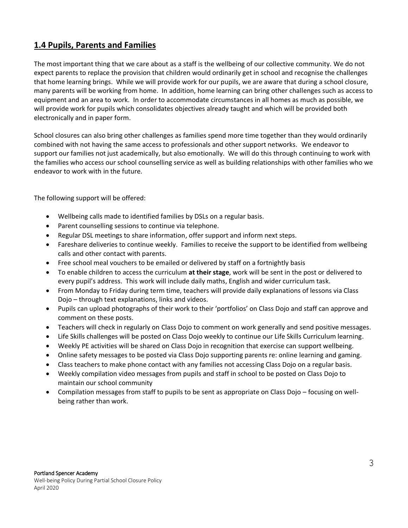## **1.4 Pupils, Parents and Families**

The most important thing that we care about as a staff is the wellbeing of our collective community. We do not expect parents to replace the provision that children would ordinarily get in school and recognise the challenges that home learning brings. While we will provide work for our pupils, we are aware that during a school closure, many parents will be working from home. In addition, home learning can bring other challenges such as access to equipment and an area to work. In order to accommodate circumstances in all homes as much as possible, we will provide work for pupils which consolidates objectives already taught and which will be provided both electronically and in paper form.

School closures can also bring other challenges as families spend more time together than they would ordinarily combined with not having the same access to professionals and other support networks. We endeavor to support our families not just academically, but also emotionally. We will do this through continuing to work with the families who access our school counselling service as well as building relationships with other families who we endeavor to work with in the future.

The following support will be offered:

- Wellbeing calls made to identified families by DSLs on a regular basis.
- Parent counselling sessions to continue via telephone.
- Regular DSL meetings to share information, offer support and inform next steps.
- Fareshare deliveries to continue weekly. Families to receive the support to be identified from wellbeing calls and other contact with parents.
- Free school meal vouchers to be emailed or delivered by staff on a fortnightly basis
- To enable children to access the curriculum **at their stage**, work will be sent in the post or delivered to every pupil's address. This work will include daily maths, English and wider curriculum task.
- From Monday to Friday during term time, teachers will provide daily explanations of lessons via Class Dojo – through text explanations, links and videos.
- Pupils can upload photographs of their work to their 'portfolios' on Class Dojo and staff can approve and comment on these posts.
- Teachers will check in regularly on Class Dojo to comment on work generally and send positive messages.
- Life Skills challenges will be posted on Class Dojo weekly to continue our Life Skills Curriculum learning.
- Weekly PE activities will be shared on Class Dojo in recognition that exercise can support wellbeing.
- Online safety messages to be posted via Class Dojo supporting parents re: online learning and gaming.
- Class teachers to make phone contact with any families not accessing Class Dojo on a regular basis.
- Weekly compilation video messages from pupils and staff in school to be posted on Class Dojo to maintain our school community
- Compilation messages from staff to pupils to be sent as appropriate on Class Dojo focusing on wellbeing rather than work.